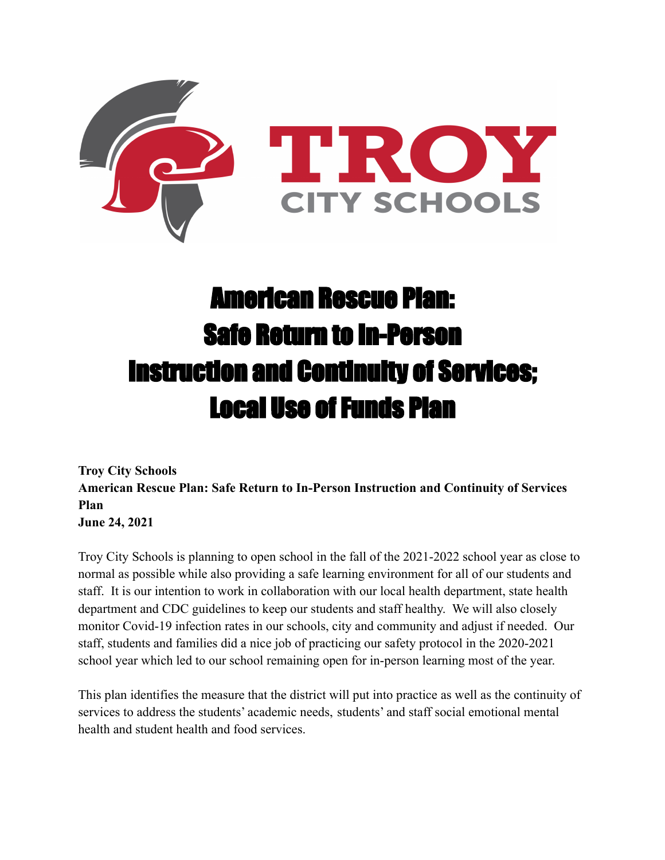

# American Rescue Plan: Safe Return to In-Person Instruction and Continuity of Services; Local Use of Funds Plan

**Troy City Schools American Rescue Plan: Safe Return to In-Person Instruction and Continuity of Services Plan June 24, 2021**

Troy City Schools is planning to open school in the fall of the 2021-2022 school year as close to normal as possible while also providing a safe learning environment for all of our students and staff. It is our intention to work in collaboration with our local health department, state health department and CDC guidelines to keep our students and staff healthy. We will also closely monitor Covid-19 infection rates in our schools, city and community and adjust if needed. Our staff, students and families did a nice job of practicing our safety protocol in the 2020-2021 school year which led to our school remaining open for in-person learning most of the year.

This plan identifies the measure that the district will put into practice as well as the continuity of services to address the students' academic needs, students' and staff social emotional mental health and student health and food services.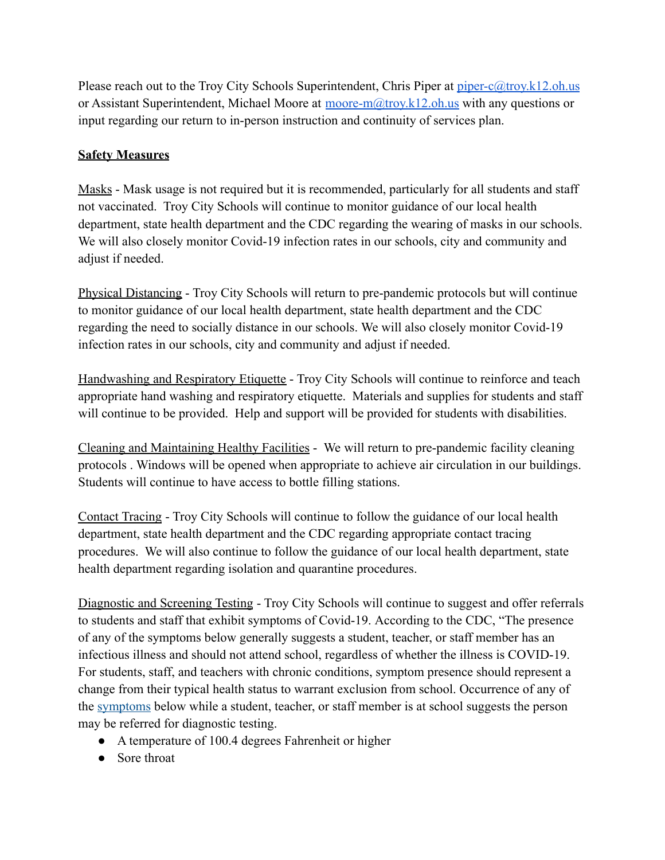Please reach out to the Troy City Schools Superintendent, Chris Piper at [piper-c@troy.k12.oh.us](mailto:piper-c@k12.oh.us) or Assistant Superintendent, Michael Moore at [moore-m@troy.k12.oh.us](mailto:moore-m@troy.k12.oh.us) with any questions or input regarding our return to in-person instruction and continuity of services plan.

### **Safety Measures**

Masks - Mask usage is not required but it is recommended, particularly for all students and staff not vaccinated. Troy City Schools will continue to monitor guidance of our local health department, state health department and the CDC regarding the wearing of masks in our schools. We will also closely monitor Covid-19 infection rates in our schools, city and community and adjust if needed.

Physical Distancing - Troy City Schools will return to pre-pandemic protocols but will continue to monitor guidance of our local health department, state health department and the CDC regarding the need to socially distance in our schools. We will also closely monitor Covid-19 infection rates in our schools, city and community and adjust if needed.

Handwashing and Respiratory Etiquette - Troy City Schools will continue to reinforce and teach appropriate hand washing and respiratory etiquette. Materials and supplies for students and staff will continue to be provided. Help and support will be provided for students with disabilities.

Cleaning and Maintaining Healthy Facilities - We will return to pre-pandemic facility cleaning protocols . Windows will be opened when appropriate to achieve air circulation in our buildings. Students will continue to have access to bottle filling stations.

Contact Tracing - Troy City Schools will continue to follow the guidance of our local health department, state health department and the CDC regarding appropriate contact tracing procedures. We will also continue to follow the guidance of our local health department, state health department regarding isolation and quarantine procedures.

Diagnostic and Screening Testing - Troy City Schools will continue to suggest and offer referrals to students and staff that exhibit symptoms of Covid-19. According to the CDC, "The presence of any of the symptoms below generally suggests a student, teacher, or staff member has an infectious illness and should not attend school, regardless of whether the illness is COVID-19. For students, staff, and teachers with chronic conditions, symptom presence should represent a change from their typical health status to warrant exclusion from school. Occurrence of any of the [symptoms](https://www.cdc.gov/coronavirus/2019-ncov/community/schools-childcare/symptom-screening.html) below while a student, teacher, or staff member is at school suggests the person may be referred for diagnostic testing[.](https://my.clevelandclinic.org/health/articles/9959-thermometers-how-to-take-your-temperature)

- A temperature of 100.4 degrees Fahrenheit or higher
- Sore throat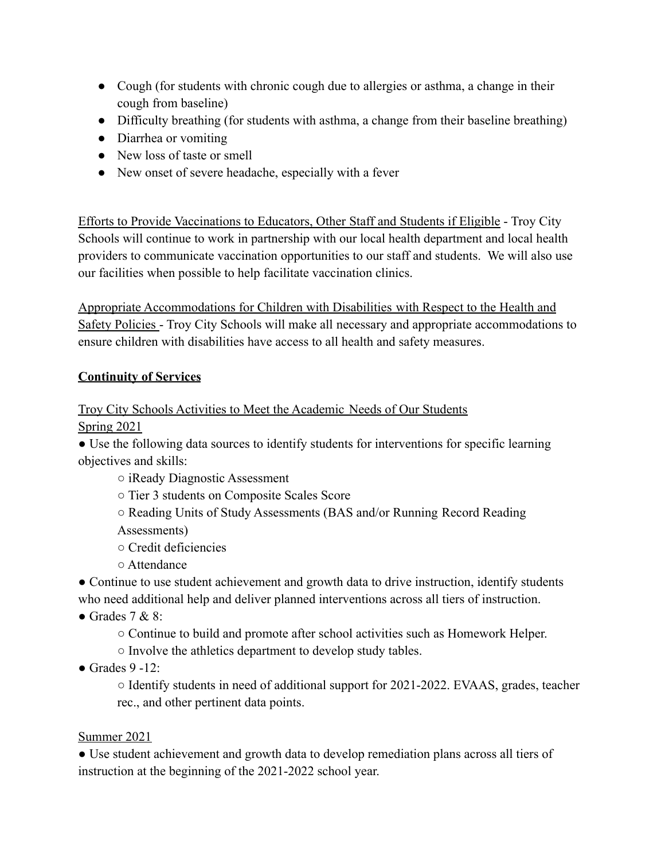- Cough (for students with chronic cough due to allergies or asthma, a change in their cough from baseline)
- Difficulty breathing (for students with asthma, a change from their baseline breathing)
- Diarrhea or vomiting
- New loss of taste or smell
- New onset of severe headache, especially with a fever

Efforts to Provide Vaccinations to Educators, Other Staff and Students if Eligible - Troy City Schools will continue to work in partnership with our local health department and local health providers to communicate vaccination opportunities to our staff and students. We will also use our facilities when possible to help facilitate vaccination clinics.

Appropriate Accommodations for Children with Disabilities with Respect to the Health and Safety Policies - Troy City Schools will make all necessary and appropriate accommodations to ensure children with disabilities have access to all health and safety measures.

### **Continuity of Services**

# Troy City Schools Activities to Meet the Academic Needs of Our Students

Spring 2021

• Use the following data sources to identify students for interventions for specific learning objectives and skills:

- iReady Diagnostic Assessment
- Tier 3 students on Composite Scales Score
- Reading Units of Study Assessments (BAS and/or Running Record Reading Assessments)
- Credit deficiencies
- Attendance

• Continue to use student achievement and growth data to drive instruction, identify students who need additional help and deliver planned interventions across all tiers of instruction.

- Grades  $7 & 8$ :
	- Continue to build and promote after school activities such as Homework Helper.
	- Involve the athletics department to develop study tables.
- $\bullet$  Grades 9 -12:

○ Identify students in need of additional support for 2021-2022. EVAAS, grades, teacher rec., and other pertinent data points.

### Summer 2021

● Use student achievement and growth data to develop remediation plans across all tiers of instruction at the beginning of the 2021-2022 school year.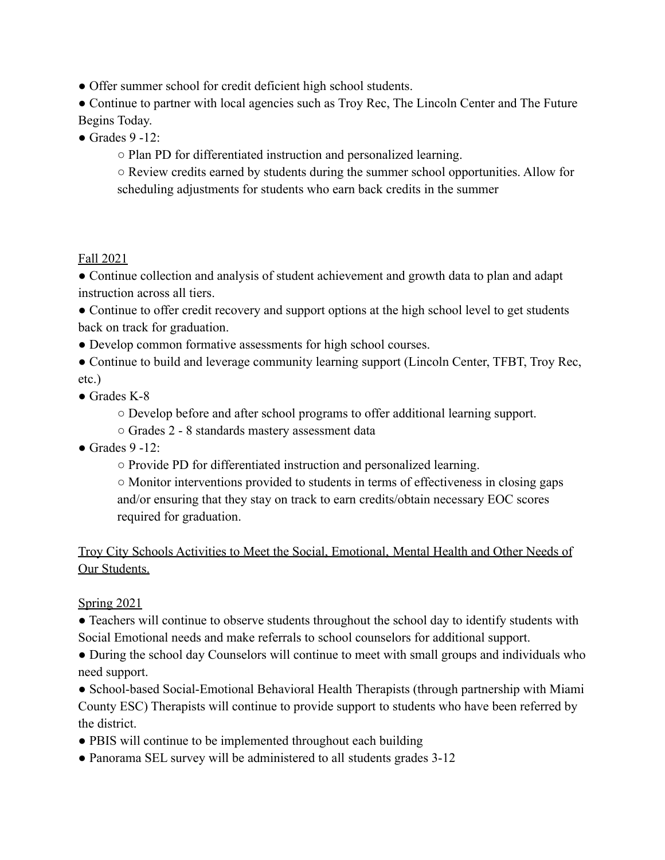• Offer summer school for credit deficient high school students.

• Continue to partner with local agencies such as Troy Rec, The Lincoln Center and The Future Begins Today.

 $\bullet$  Grades 9 -12:

○ Plan PD for differentiated instruction and personalized learning.

○ Review credits earned by students during the summer school opportunities. Allow for scheduling adjustments for students who earn back credits in the summer

### Fall 2021

● Continue collection and analysis of student achievement and growth data to plan and adapt instruction across all tiers.

• Continue to offer credit recovery and support options at the high school level to get students back on track for graduation.

● Develop common formative assessments for high school courses.

- Continue to build and leverage community learning support (Lincoln Center, TFBT, Troy Rec, etc.)
- Grades K-8

○ Develop before and after school programs to offer additional learning support.

- Grades 2 8 standards mastery assessment data
- $\bullet$  Grades 9 -12 $\cdot$ 
	- Provide PD for differentiated instruction and personalized learning.

○ Monitor interventions provided to students in terms of effectiveness in closing gaps and/or ensuring that they stay on track to earn credits/obtain necessary EOC scores required for graduation.

## Troy City Schools Activities to Meet the Social, Emotional, Mental Health and Other Needs of Our Students.

**Spring 2021** 

• Teachers will continue to observe students throughout the school day to identify students with Social Emotional needs and make referrals to school counselors for additional support.

• During the school day Counselors will continue to meet with small groups and individuals who need support.

● School-based Social-Emotional Behavioral Health Therapists (through partnership with Miami County ESC) Therapists will continue to provide support to students who have been referred by the district.

- PBIS will continue to be implemented throughout each building
- Panorama SEL survey will be administered to all students grades 3-12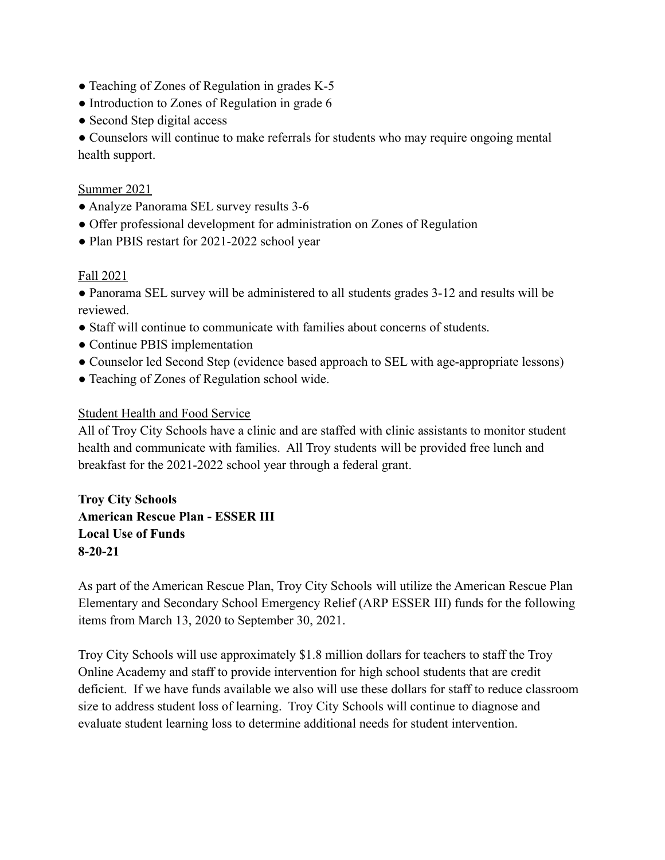- Teaching of Zones of Regulation in grades K-5
- Introduction to Zones of Regulation in grade 6
- Second Step digital access

● Counselors will continue to make referrals for students who may require ongoing mental health support.

#### Summer 2021

- Analyze Panorama SEL survey results 3-6
- Offer professional development for administration on Zones of Regulation
- Plan PBIS restart for 2021-2022 school year

#### Fall 2021

● Panorama SEL survey will be administered to all students grades 3-12 and results will be reviewed.

- Staff will continue to communicate with families about concerns of students.
- Continue PBIS implementation
- Counselor led Second Step (evidence based approach to SEL with age-appropriate lessons)
- Teaching of Zones of Regulation school wide.

#### Student Health and Food Service

All of Troy City Schools have a clinic and are staffed with clinic assistants to monitor student health and communicate with families. All Troy students will be provided free lunch and breakfast for the 2021-2022 school year through a federal grant.

**Troy City Schools American Rescue Plan - ESSER III Local Use of Funds 8-20-21**

As part of the American Rescue Plan, Troy City Schools will utilize the American Rescue Plan Elementary and Secondary School Emergency Relief (ARP ESSER III) funds for the following items from March 13, 2020 to September 30, 2021.

Troy City Schools will use approximately \$1.8 million dollars for teachers to staff the Troy Online Academy and staff to provide intervention for high school students that are credit deficient. If we have funds available we also will use these dollars for staff to reduce classroom size to address student loss of learning. Troy City Schools will continue to diagnose and evaluate student learning loss to determine additional needs for student intervention.